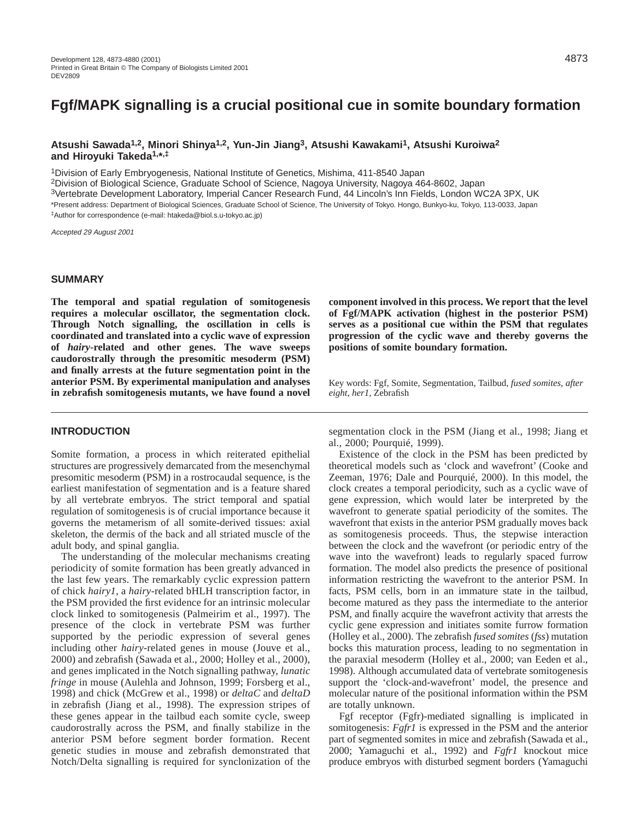# **Fgf/MAPK signalling is a crucial positional cue in somite boundary formation**

**Atsushi Sawada1,2, Minori Shinya1,2, Yun-Jin Jiang3, Atsushi Kawakami1, Atsushi Kuroiwa2 and Hiroyuki Takeda1,\*,‡**

1Division of Early Embryogenesis, National Institute of Genetics, Mishima, 411-8540 Japan

2Division of Biological Science, Graduate School of Science, Nagoya University, Nagoya 464-8602, Japan

3Vertebrate Development Laboratory, Imperial Cancer Research Fund, 44 Lincoln's Inn Fields, London WC2A 3PX, UK

\*Present address: Department of Biological Sciences, Graduate School of Science, The University of Tokyo. Hongo, Bunkyo-ku, Tokyo, 113-0033, Japan

‡Author for correspondence (e-mail: htakeda@biol.s.u-tokyo.ac.jp)

Accepted 29 August 2001

## **SUMMARY**

**The temporal and spatial regulation of somitogenesis requires a molecular oscillator, the segmentation clock. Through Notch signalling, the oscillation in cells is coordinated and translated into a cyclic wave of expression of** *hairy***-related and other genes. The wave sweeps caudorostrally through the presomitic mesoderm (PSM) and finally arrests at the future segmentation point in the anterior PSM. By experimental manipulation and analyses in zebrafish somitogenesis mutants, we have found a novel**

**INTRODUCTION**

Somite formation, a process in which reiterated epithelial structures are progressively demarcated from the mesenchymal presomitic mesoderm (PSM) in a rostrocaudal sequence, is the earliest manifestation of segmentation and is a feature shared by all vertebrate embryos. The strict temporal and spatial regulation of somitogenesis is of crucial importance because it governs the metamerism of all somite-derived tissues: axial skeleton, the dermis of the back and all striated muscle of the adult body, and spinal ganglia.

The understanding of the molecular mechanisms creating periodicity of somite formation has been greatly advanced in the last few years. The remarkably cyclic expression pattern of chick *hairy1*, a *hairy*-related bHLH transcription factor, in the PSM provided the first evidence for an intrinsic molecular clock linked to somitogenesis (Palmeirim et al., 1997). The presence of the clock in vertebrate PSM was further supported by the periodic expression of several genes including other *hairy*-related genes in mouse (Jouve et al., 2000) and zebrafish (Sawada et al., 2000; Holley et al., 2000), and genes implicated in the Notch signalling pathway, *lunatic fringe* in mouse (Aulehla and Johnson, 1999; Forsberg et al., 1998) and chick (McGrew et al., 1998) or *deltaC* and *deltaD* in zebrafish (Jiang et al., 1998). The expression stripes of these genes appear in the tailbud each somite cycle, sweep caudorostrally across the PSM, and finally stabilize in the anterior PSM before segment border formation. Recent genetic studies in mouse and zebrafish demonstrated that Notch/Delta signalling is required for synclonization of the

**component involved in this process. We report that the level of Fgf/MAPK activation (highest in the posterior PSM) serves as a positional cue within the PSM that regulates progression of the cyclic wave and thereby governs the positions of somite boundary formation.**

Key words: Fgf, Somite, Segmentation, Tailbud, *fused somites*, *after eight*, *her1*, Zebrafish

segmentation clock in the PSM (Jiang et al., 1998; Jiang et al., 2000; Pourquié, 1999).

Existence of the clock in the PSM has been predicted by theoretical models such as 'clock and wavefront' (Cooke and Zeeman, 1976; Dale and Pourquié, 2000). In this model, the clock creates a temporal periodicity, such as a cyclic wave of gene expression, which would later be interpreted by the wavefront to generate spatial periodicity of the somites. The wavefront that exists in the anterior PSM gradually moves back as somitogenesis proceeds. Thus, the stepwise interaction between the clock and the wavefront (or periodic entry of the wave into the wavefront) leads to regularly spaced furrow formation. The model also predicts the presence of positional information restricting the wavefront to the anterior PSM. In facts, PSM cells, born in an immature state in the tailbud, become matured as they pass the intermediate to the anterior PSM, and finally acquire the wavefront activity that arrests the cyclic gene expression and initiates somite furrow formation (Holley et al., 2000). The zebrafish *fused somites* (*fss*) mutation bocks this maturation process, leading to no segmentation in the paraxial mesoderm (Holley et al., 2000; van Eeden et al., 1998). Although accumulated data of vertebrate somitogenesis support the 'clock-and-wavefront' model, the presence and molecular nature of the positional information within the PSM are totally unknown.

Fgf receptor (Fgfr)-mediated signalling is implicated in somitogenesis: *Fgfr1* is expressed in the PSM and the anterior part of segmented somites in mice and zebrafish (Sawada et al., 2000; Yamaguchi et al., 1992) and *Fgfr1* knockout mice produce embryos with disturbed segment borders (Yamaguchi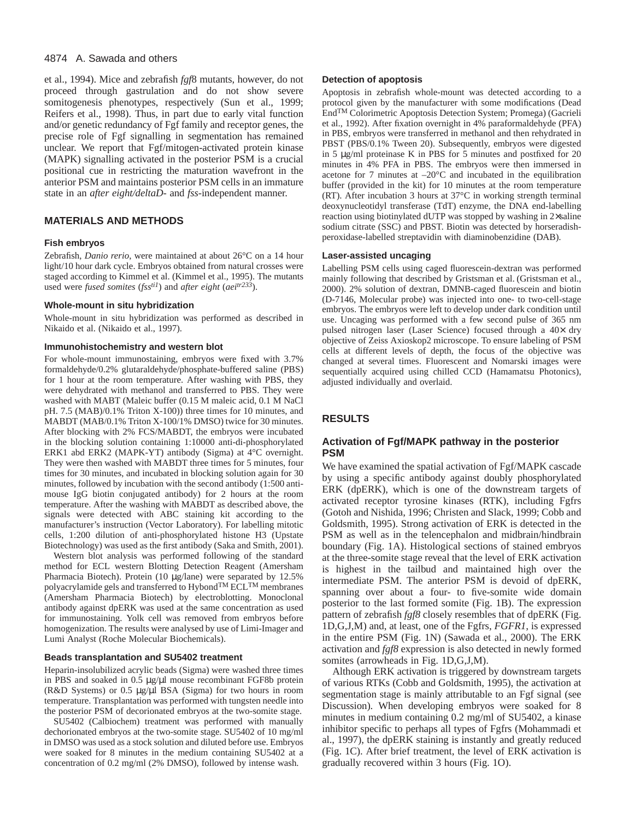#### 4874 A. Sawada and others

et al., 1994). Mice and zebrafish *fgf*8 mutants, however, do not proceed through gastrulation and do not show severe somitogenesis phenotypes, respectively (Sun et al., 1999; Reifers et al., 1998). Thus, in part due to early vital function and/or genetic redundancy of Fgf family and receptor genes, the precise role of Fgf signalling in segmentation has remained unclear. We report that Fgf/mitogen-activated protein kinase (MAPK) signalling activated in the posterior PSM is a crucial positional cue in restricting the maturation wavefront in the anterior PSM and maintains posterior PSM cells in an immature state in an *after eight/deltaD*- and *fss*-independent manner.

## **MATERIALS AND METHODS**

#### **Fish embryos**

Zebrafish, *Danio rerio*, were maintained at about 26°C on a 14 hour light/10 hour dark cycle. Embryos obtained from natural crosses were staged according to Kimmel et al. (Kimmel et al., 1995). The mutants used were *fused somites* (*fssti1*) and *after eight* (*aeitr233*).

#### **Whole-mount in situ hybridization**

Whole-mount in situ hybridization was performed as described in Nikaido et al. (Nikaido et al., 1997).

#### **Immunohistochemistry and western blot**

For whole-mount immunostaining, embryos were fixed with 3.7% formaldehyde/0.2% glutaraldehyde/phosphate-buffered saline (PBS) for 1 hour at the room temperature. After washing with PBS, they were dehydrated with methanol and transferred to PBS. They were washed with MABT (Maleic buffer (0.15 M maleic acid, 0.1 M NaCl pH. 7.5 (MAB)/0.1% Triton X-100)) three times for 10 minutes, and MABDT (MAB/0.1% Triton X-100/1% DMSO) twice for 30 minutes. After blocking with 2% FCS/MABDT, the embryos were incubated in the blocking solution containing 1:10000 anti-di-phosphorylated ERK1 abd ERK2 (MAPK-YT) antibody (Sigma) at 4°C overnight. They were then washed with MABDT three times for 5 minutes, four times for 30 minutes, and incubated in blocking solution again for 30 minutes, followed by incubation with the second antibody (1:500 antimouse IgG biotin conjugated antibody) for 2 hours at the room temperature. After the washing with MABDT as described above, the signals were detected with ABC staining kit according to the manufacturer's instruction (Vector Laboratory). For labelling mitotic cells, 1:200 dilution of anti-phosphorylated histone H3 (Upstate Biotechnology) was used as the first antibody (Saka and Smith, 2001).

Western blot analysis was performed following of the standard method for ECL western Blotting Detection Reagent (Amersham Pharmacia Biotech). Protein (10 µg/lane) were separated by 12.5% polyacrylamide gels and transferred to HybondTM ECLTM membranes (Amersham Pharmacia Biotech) by electroblotting. Monoclonal antibody against dpERK was used at the same concentration as used for immunostaining. Yolk cell was removed from embryos before homogenization. The results were analysed by use of Limi-Imager and Lumi Analyst (Roche Molecular Biochemicals).

#### **Beads transplantation and SU5402 treatment**

Heparin-insolubilized acrylic beads (Sigma) were washed three times in PBS and soaked in 0.5 µg/µl mouse recombinant FGF8b protein (R&D Systems) or 0.5 µg/µl BSA (Sigma) for two hours in room temperature. Transplantation was performed with tungsten needle into the posterior PSM of decorionated embryos at the two-somite stage.

SU5402 (Calbiochem) treatment was performed with manually dechorionated embryos at the two-somite stage. SU5402 of 10 mg/ml in DMSO was used as a stock solution and diluted before use. Embryos were soaked for 8 minutes in the medium containing SU5402 at a concentration of 0.2 mg/ml (2% DMSO), followed by intense wash.

#### **Detection of apoptosis**

Apoptosis in zebrafish whole-mount was detected according to a protocol given by the manufacturer with some modifications (Dead EndTM Colorimetric Apoptosis Detection System; Promega) (Gacrieli et al., 1992). After fixation overnight in 4% paraformaldehyde (PFA) in PBS, embryos were transferred in methanol and then rehydrated in PBST (PBS/0.1% Tween 20). Subsequently, embryos were digested in 5 µg/ml proteinase K in PBS for 5 minutes and postfixed for 20 minutes in 4% PFA in PBS. The embryos were then immersed in acetone for 7 minutes at –20°C and incubated in the equilibration buffer (provided in the kit) for 10 minutes at the room temperature (RT). After incubation 3 hours at 37°C in working strength terminal deoxynucleotidyl transferase (TdT) enzyme, the DNA end-labelling reaction using biotinylated dUTP was stopped by washing in 2×saline sodium citrate (SSC) and PBST. Biotin was detected by horseradishperoxidase-labelled streptavidin with diaminobenzidine (DAB).

#### **Laser-assisted uncaging**

Labelling PSM cells using caged fluorescein-dextran was performed mainly following that described by Gristsman et al. (Gristsman et al., 2000). 2% solution of dextran, DMNB-caged fluorescein and biotin (D-7146, Molecular probe) was injected into one- to two-cell-stage embryos. The embryos were left to develop under dark condition until use. Uncaging was performed with a few second pulse of 365 nm pulsed nitrogen laser (Laser Science) focused through a 40× dry objective of Zeiss Axioskop2 microscope. To ensure labeling of PSM cells at different levels of depth, the focus of the objective was changed at several times. Fluorescent and Nomarski images were sequentially acquired using chilled CCD (Hamamatsu Photonics), adjusted individually and overlaid.

# **RESULTS**

## **Activation of Fgf/MAPK pathway in the posterior PSM**

We have examined the spatial activation of Fgf/MAPK cascade by using a specific antibody against doubly phosphorylated ERK (dpERK), which is one of the downstream targets of activated receptor tyrosine kinases (RTK), including Fgfrs (Gotoh and Nishida, 1996; Christen and Slack, 1999; Cobb and Goldsmith, 1995). Strong activation of ERK is detected in the PSM as well as in the telencephalon and midbrain/hindbrain boundary (Fig. 1A). Histological sections of stained embryos at the three-somite stage reveal that the level of ERK activation is highest in the tailbud and maintained high over the intermediate PSM. The anterior PSM is devoid of dpERK, spanning over about a four- to five-somite wide domain posterior to the last formed somite (Fig. 1B). The expression pattern of zebrafish *fgf8* closely resembles that of dpERK (Fig. 1D,G,J,M) and, at least, one of the Fgfrs, *FGFR1*, is expressed in the entire PSM (Fig. 1N) (Sawada et al., 2000). The ERK activation and *fgf8* expression is also detected in newly formed somites (arrowheads in Fig. 1D,G,J,M).

Although ERK activation is triggered by downstream targets of various RTKs (Cobb and Goldsmith, 1995), the activation at segmentation stage is mainly attributable to an Fgf signal (see Discussion). When developing embryos were soaked for 8 minutes in medium containing 0.2 mg/ml of SU5402, a kinase inhibitor specific to perhaps all types of Fgfrs (Mohammadi et al., 1997), the dpERK staining is instantly and greatly reduced (Fig. 1C). After brief treatment, the level of ERK activation is gradually recovered within 3 hours (Fig. 1O).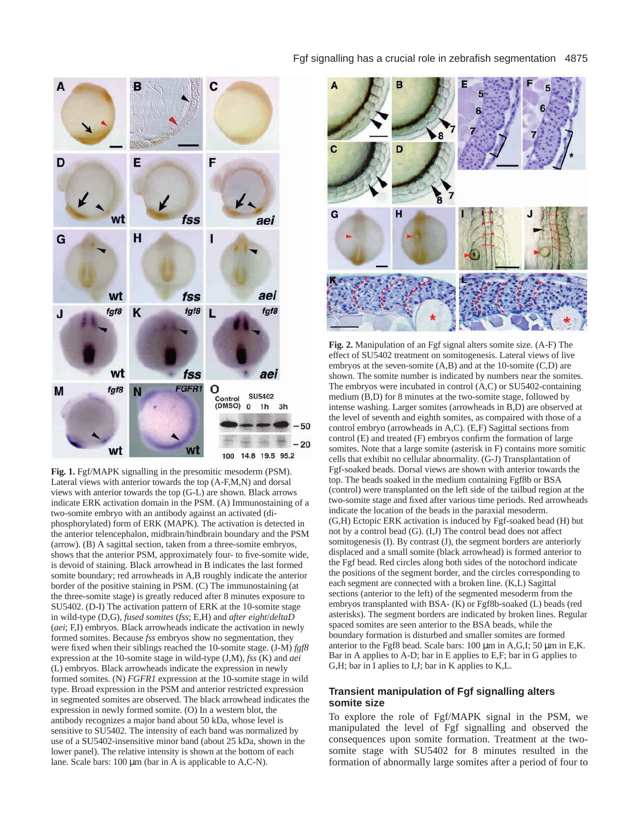

**Fig. 1.** Fgf/MAPK signalling in the presomitic mesoderm (PSM). Lateral views with anterior towards the top (A-F,M,N) and dorsal views with anterior towards the top (G-L) are shown. Black arrows indicate ERK activation domain in the PSM. (A) Immunostaining of a two-somite embryo with an antibody against an activated (diphosphorylated) form of ERK (MAPK). The activation is detected in the anterior telencephalon, midbrain/hindbrain boundary and the PSM (arrow). (B) A sagittal section, taken from a three-somite embryos, shows that the anterior PSM, approximately four- to five-somite wide, is devoid of staining. Black arrowhead in B indicates the last formed somite boundary; red arrowheads in A,B roughly indicate the anterior border of the positive staining in PSM. (C) The immunostaining (at the three-somite stage) is greatly reduced after 8 minutes exposure to SU5402. (D-I) The activation pattern of ERK at the 10-somite stage in wild-type (D,G), *fused somites* (*fss*; E,H) and *after eight*/*deltaD* (*aei*; F,I) embryos. Black arrowheads indicate the activation in newly formed somites. Because *fss* embryos show no segmentation, they were fixed when their siblings reached the 10-somite stage. (J-M) *fgf8* expression at the 10-somite stage in wild-type (J,M), *fss* (K) and *aei* (L) embryos. Black arrowheads indicate the expression in newly formed somites. (N) *FGFR1* expression at the 10-somite stage in wild type. Broad expression in the PSM and anterior restricted expression in segmented somites are observed. The black arrowhead indicates the expression in newly formed somite. (O) In a western blot, the antibody recognizes a major band about 50 kDa, whose level is sensitive to SU5402. The intensity of each band was normalized by use of a SU5402-insensitive minor band (about 25 kDa, shown in the lower panel). The relative intensity is shown at the bottom of each lane. Scale bars: 100  $\mu$ m (bar in A is applicable to A,C-N).

#### Fgf signalling has a crucial role in zebrafish segmentation 4875



**Fig. 2.** Manipulation of an Fgf signal alters somite size. (A-F) The effect of SU5402 treatment on somitogenesis. Lateral views of live embryos at the seven-somite (A,B) and at the 10-somite (C,D) are shown. The somite number is indicated by numbers near the somites. The embryos were incubated in control (A,C) or SU5402-containing medium (B,D) for 8 minutes at the two-somite stage, followed by intense washing. Larger somites (arrowheads in B,D) are observed at the level of seventh and eighth somites, as compaired with those of a control embryo (arrowheads in A,C). (E,F) Sagittal sections from control (E) and treated (F) embryos confirm the formation of large somites. Note that a large somite (asterisk in F) contains more somitic cells that exhibit no cellular abnormality. (G-J) Transplantation of Fgf-soaked beads. Dorsal views are shown with anterior towards the top. The beads soaked in the medium containing Fgf8b or BSA (control) were transplanted on the left side of the tailbud region at the two-somite stage and fixed after various time periods. Red arrowheads indicate the location of the beads in the paraxial mesoderm. (G,H) Ectopic ERK activation is induced by Fgf-soaked bead (H) but not by a control bead (G). (I,J) The control bead does not affect somitogenesis (I). By contrast (J), the segment borders are anteriorly displaced and a small somite (black arrowhead) is formed anterior to the Fgf bead. Red circles along both sides of the notochord indicate the positions of the segment border, and the circles corresponding to each segment are connected with a broken line. (K,L) Sagittal sections (anterior to the left) of the segmented mesoderm from the embryos transplanted with BSA- (K) or Fgf8b-soaked (L) beads (red asterisks). The segment borders are indicated by broken lines. Regular spaced somites are seen anterior to the BSA beads, while the boundary formation is disturbed and smaller somites are formed anterior to the Fgf8 bead. Scale bars: 100 µm in A,G,I; 50 µm in E,K. Bar in A applies to A-D; bar in E applies to E,F; bar in G applies to G,H; bar in I aplies to I,J; bar in K applies to K,L.

## **Transient manipulation of Fgf signalling alters somite size**

To explore the role of Fgf/MAPK signal in the PSM, we manipulated the level of Fgf signalling and observed the consequences upon somite formation. Treatment at the twosomite stage with SU5402 for 8 minutes resulted in the formation of abnormally large somites after a period of four to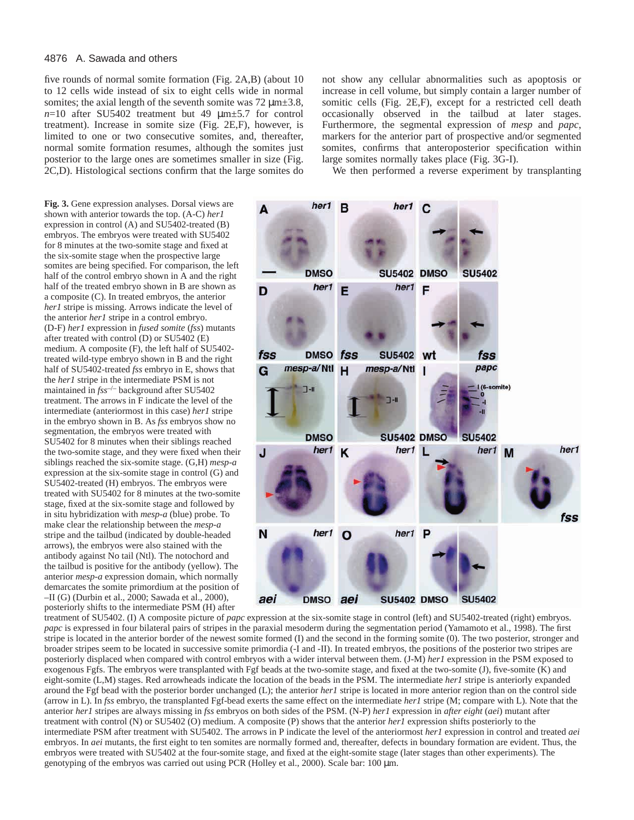#### 4876 A. Sawada and others

five rounds of normal somite formation (Fig. 2A,B) (about 10 to 12 cells wide instead of six to eight cells wide in normal somites; the axial length of the seventh somite was  $72 \mu m \pm 3.8$ ,  $n=10$  after SU5402 treatment but 49  $\mu$ m $\pm$ 5.7 for control treatment). Increase in somite size (Fig. 2E,F), however, is limited to one or two consecutive somites, and, thereafter, normal somite formation resumes, although the somites just posterior to the large ones are sometimes smaller in size (Fig. 2C,D). Histological sections confirm that the large somites do

**Fig. 3.** Gene expression analyses. Dorsal views are shown with anterior towards the top. (A-C) *her1* expression in control (A) and SU5402-treated (B) embryos. The embryos were treated with SU5402 for 8 minutes at the two-somite stage and fixed at the six-somite stage when the prospective large somites are being specified. For comparison, the left half of the control embryo shown in A and the right half of the treated embryo shown in B are shown as a composite (C). In treated embryos, the anterior *her1* stripe is missing. Arrows indicate the level of the anterior *her1* stripe in a control embryo. (D-F) *her1* expression in *fused somite* (*fss*) mutants after treated with control (D) or SU5402 (E) medium. A composite (F), the left half of SU5402 treated wild-type embryo shown in B and the right half of SU5402-treated *fss* embryo in E, shows that the *her1* stripe in the intermediate PSM is not maintained in *fss*–/– background after SU5402 treatment. The arrows in F indicate the level of the intermediate (anteriormost in this case) *her1* stripe in the embryo shown in B. As *fss* embryos show no segmentation, the embryos were treated with SU5402 for 8 minutes when their siblings reached the two-somite stage, and they were fixed when their siblings reached the six-somite stage. (G,H) *mesp-a* expression at the six-somite stage in control (G) and SU5402-treated (H) embryos. The embryos were treated with SU5402 for 8 minutes at the two-somite stage, fixed at the six-somite stage and followed by in situ hybridization with *mesp-a* (blue) probe. To make clear the relationship between the *mesp-a* stripe and the tailbud (indicated by double-headed arrows), the embryos were also stained with the antibody against No tail (Ntl). The notochord and the tailbud is positive for the antibody (yellow). The anterior *mesp-a* expression domain, which normally demarcates the somite primordium at the position of –II (G) (Durbin et al., 2000; Sawada et al., 2000), posteriorly shifts to the intermediate PSM (H) after

not show any cellular abnormalities such as apoptosis or increase in cell volume, but simply contain a larger number of somitic cells (Fig. 2E,F), except for a restricted cell death occasionally observed in the tailbud at later stages. Furthermore, the segmental expression of *mesp* and *papc*, markers for the anterior part of prospective and/or segmented somites, confirms that anteroposterior specification within large somites normally takes place (Fig. 3G-I).

We then performed a reverse experiment by transplanting



treatment of SU5402. (I) A composite picture of *papc* expression at the six-somite stage in control (left) and SU5402-treated (right) embryos. *papc* is expressed in four bilateral pairs of stripes in the paraxial mesoderm during the segmentation period (Yamamoto et al., 1998). The first stripe is located in the anterior border of the newest somite formed (I) and the second in the forming somite (0). The two posterior, stronger and broader stripes seem to be located in successive somite primordia (-I and -II). In treated embryos, the positions of the posterior two stripes are posteriorly displaced when compared with control embryos with a wider interval between them. (J-M) *her1* expression in the PSM exposed to exogenous Fgfs. The embryos were transplanted with Fgf beads at the two-somite stage, and fixed at the two-somite (J), five-somite (K) and eight-somite (L,M) stages. Red arrowheads indicate the location of the beads in the PSM. The intermediate *her1* stripe is anteriorly expanded around the Fgf bead with the posterior border unchanged (L); the anterior *her1* stripe is located in more anterior region than on the control side (arrow in L). In *fss* embryo, the transplanted Fgf-bead exerts the same effect on the intermediate *her1* stripe (M; compare with L). Note that the anterior *her1* stripes are always missing in *fss* embryos on both sides of the PSM. (N-P) *her1* expression in *after eight* (*aei*) mutant after treatment with control (N) or SU5402 (O) medium. A composite (P) shows that the anterior *her1* expression shifts posteriorly to the intermediate PSM after treatment with SU5402. The arrows in P indicate the level of the anteriormost *her1* expression in control and treated *aei* embryos. In *aei* mutants, the first eight to ten somites are normally formed and, thereafter, defects in boundary formation are evident. Thus, the embryos were treated with SU5402 at the four-somite stage, and fixed at the eight-somite stage (later stages than other experiments). The genotyping of the embryos was carried out using PCR (Holley et al., 2000). Scale bar: 100 µm.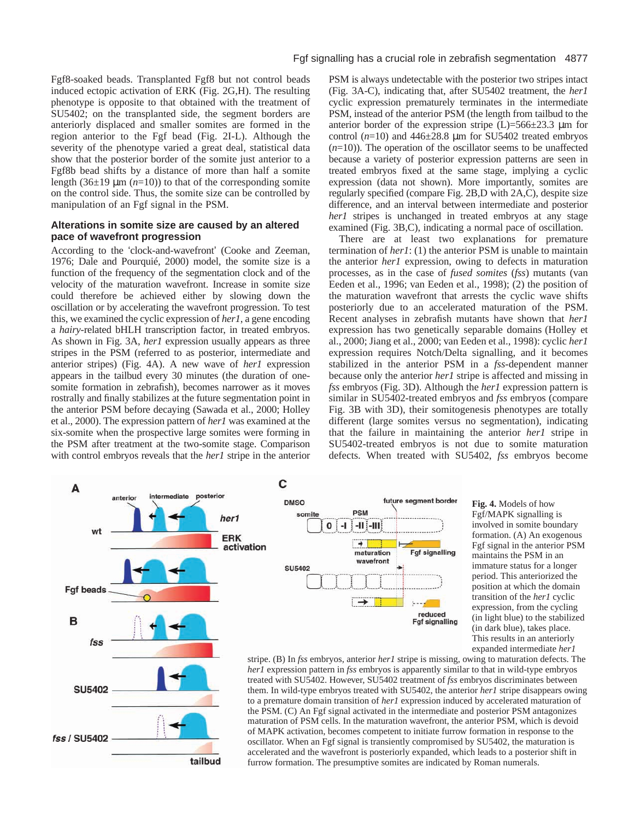Fgf8-soaked beads. Transplanted Fgf8 but not control beads induced ectopic activation of ERK (Fig. 2G,H). The resulting phenotype is opposite to that obtained with the treatment of SU5402; on the transplanted side, the segment borders are anteriorly displaced and smaller somites are formed in the region anterior to the Fgf bead (Fig. 2I-L). Although the severity of the phenotype varied a great deal, statistical data show that the posterior border of the somite just anterior to a Fgf8b bead shifts by a distance of more than half a somite length ( $36\pm19 \ \mu m$  ( $n=10$ )) to that of the corresponding somite on the control side. Thus, the somite size can be controlled by manipulation of an Fgf signal in the PSM.

## **Alterations in somite size are caused by an altered pace of wavefront progression**

According to the 'clock-and-wavefront' (Cooke and Zeeman, 1976; Dale and Pourquié, 2000) model, the somite size is a function of the frequency of the segmentation clock and of the velocity of the maturation wavefront. Increase in somite size could therefore be achieved either by slowing down the oscillation or by accelerating the wavefront progression. To test this, we examined the cyclic expression of *her1*, a gene encoding a *hairy*-related bHLH transcription factor, in treated embryos. As shown in Fig. 3A, *her1* expression usually appears as three stripes in the PSM (referred to as posterior, intermediate and anterior stripes) (Fig. 4A). A new wave of *her1* expression appears in the tailbud every 30 minutes (the duration of onesomite formation in zebrafish), becomes narrower as it moves rostrally and finally stabilizes at the future segmentation point in the anterior PSM before decaying (Sawada et al., 2000; Holley et al., 2000). The expression pattern of *her1* was examined at the six-somite when the prospective large somites were forming in the PSM after treatment at the two-somite stage. Comparison with control embryos reveals that the *her1* stripe in the anterior

PSM is always undetectable with the posterior two stripes intact (Fig. 3A-C), indicating that, after SU5402 treatment, the *her1* cyclic expression prematurely terminates in the intermediate PSM, instead of the anterior PSM (the length from tailbud to the anterior border of the expression stripe  $(L)=566\pm23.3$  µm for control  $(n=10)$  and  $446\pm28.8$  µm for SU5402 treated embryos  $(n=10)$ ). The operation of the oscillator seems to be unaffected because a variety of posterior expression patterns are seen in treated embryos fixed at the same stage, implying a cyclic expression (data not shown). More importantly, somites are regularly specified (compare Fig. 2B,D with 2A,C), despite size difference, and an interval between intermediate and posterior *her1* stripes is unchanged in treated embryos at any stage examined (Fig. 3B,C), indicating a normal pace of oscillation.

There are at least two explanations for premature termination of *her1*: (1) the anterior PSM is unable to maintain the anterior *her1* expression, owing to defects in maturation processes, as in the case of *fused somites* (*fss*) mutants (van Eeden et al., 1996; van Eeden et al., 1998); (2) the position of the maturation wavefront that arrests the cyclic wave shifts posteriorly due to an accelerated maturation of the PSM. Recent analyses in zebrafish mutants have shown that *her1* expression has two genetically separable domains (Holley et al., 2000; Jiang et al., 2000; van Eeden et al., 1998): cyclic *her1* expression requires Notch/Delta signalling, and it becomes stabilized in the anterior PSM in a *fss*-dependent manner because only the anterior *her1* stripe is affected and missing in *fss* embryos (Fig. 3D). Although the *her1* expression pattern is similar in SU5402-treated embryos and *fss* embryos (compare Fig. 3B with 3D), their somitogenesis phenotypes are totally different (large somites versus no segmentation), indicating that the failure in maintaining the anterior *her1* stripe in SU5402-treated embryos is not due to somite maturation defects. When treated with SU5402, *fss* embryos become



tailbud



C

**Fig. 4.** Models of how Fgf/MAPK signalling is involved in somite boundary formation. (A) An exogenous Fgf signal in the anterior PSM maintains the PSM in an immature status for a longer period. This anteriorized the position at which the domain transition of the *her1* cyclic expression, from the cycling (in light blue) to the stabilized (in dark blue), takes place. This results in an anteriorly expanded intermediate *her1*

stripe. (B) In *fss* embryos, anterior *her1* stripe is missing, owing to maturation defects. The *her1* expression pattern in *fss* embryos is apparently similar to that in wild-type embryos treated with SU5402. However, SU5402 treatment of *fss* embryos discriminates between them. In wild-type embryos treated with SU5402, the anterior *her1* stripe disappears owing to a premature domain transition of *her1* expression induced by accelerated maturation of the PSM. (C) An Fgf signal activated in the intermediate and posterior PSM antagonizes maturation of PSM cells. In the maturation wavefront, the anterior PSM, which is devoid of MAPK activation, becomes competent to initiate furrow formation in response to the oscillator. When an Fgf signal is transiently compromised by SU5402, the maturation is accelerated and the wavefront is posteriorly expanded, which leads to a posterior shift in furrow formation. The presumptive somites are indicated by Roman numerals.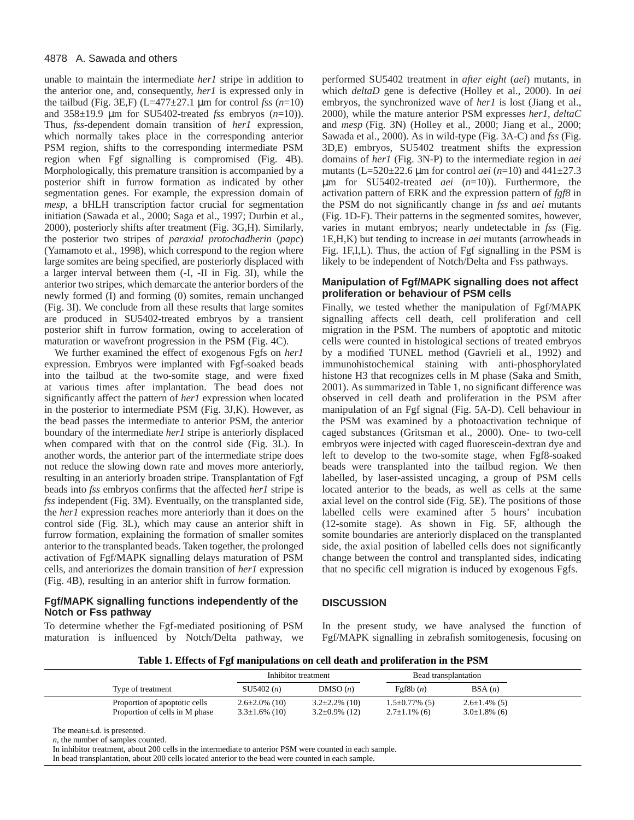unable to maintain the intermediate *her1* stripe in addition to the anterior one, and, consequently, *her1* is expressed only in the tailbud (Fig. 3E,F)  $(L=477 \pm 27.1 \mu m$  for control *fss*  $(n=10)$ and 358±19.9 µm for SU5402-treated *fss* embryos (*n*=10)). Thus, *fss*-dependent domain transition of *her1* expression, which normally takes place in the corresponding anterior PSM region, shifts to the corresponding intermediate PSM region when Fgf signalling is compromised (Fig. 4B). Morphologically, this premature transition is accompanied by a posterior shift in furrow formation as indicated by other segmentation genes. For example, the expression domain of *mesp*, a bHLH transcription factor crucial for segmentation initiation (Sawada et al., 2000; Saga et al., 1997; Durbin et al., 2000), posteriorly shifts after treatment (Fig. 3G,H). Similarly, the posterior two stripes of *paraxial protochadherin* (*papc*) (Yamamoto et al., 1998), which correspond to the region where large somites are being specified, are posteriorly displaced with a larger interval between them (-I, -II in Fig. 3I), while the anterior two stripes, which demarcate the anterior borders of the newly formed (I) and forming (0) somites, remain unchanged (Fig. 3I). We conclude from all these results that large somites are produced in SU5402-treated embryos by a transient posterior shift in furrow formation, owing to acceleration of maturation or wavefront progression in the PSM (Fig. 4C).

We further examined the effect of exogenous Fgfs on *her1* expression. Embryos were implanted with Fgf-soaked beads into the tailbud at the two-somite stage, and were fixed at various times after implantation. The bead does not significantly affect the pattern of *her1* expression when located in the posterior to intermediate PSM (Fig. 3J,K). However, as the bead passes the intermediate to anterior PSM, the anterior boundary of the intermediate *her1* stripe is anteriorly displaced when compared with that on the control side (Fig. 3L). In another words, the anterior part of the intermediate stripe does not reduce the slowing down rate and moves more anteriorly, resulting in an anteriorly broaden stripe. Transplantation of Fgf beads into *fss* embryos confirms that the affected *her1* stripe is *fss* independent (Fig. 3M). Eventually, on the transplanted side, the *her1* expression reaches more anteriorly than it does on the control side (Fig. 3L), which may cause an anterior shift in furrow formation, explaining the formation of smaller somites anterior to the transplanted beads. Taken together, the prolonged activation of Fgf/MAPK signalling delays maturation of PSM cells, and anteriorizes the domain transition of *her1* expression (Fig. 4B), resulting in an anterior shift in furrow formation.

## **Fgf/MAPK signalling functions independently of the Notch or Fss pathway**

To determine whether the Fgf-mediated positioning of PSM maturation is influenced by Notch/Delta pathway, we

performed SU5402 treatment in *after eight* (*aei*) mutants, in which *deltaD* gene is defective (Holley et al., 2000). In *aei* embryos, the synchronized wave of *her1* is lost (Jiang et al., 2000), while the mature anterior PSM expresses *her1*, *deltaC* and *mesp* (Fig. 3N) (Holley et al., 2000; Jiang et al., 2000; Sawada et al., 2000). As in wild-type (Fig. 3A-C) and *fss* (Fig. 3D,E) embryos, SU5402 treatment shifts the expression domains of *her1* (Fig. 3N-P) to the intermediate region in *aei* mutants (L=520±22.6 µm for control *aei* (*n*=10) and 441±27.3 µm for SU5402-treated *aei* (*n*=10)). Furthermore, the activation pattern of ERK and the expression pattern of *fgf8* in the PSM do not significantly change in *fss* and *aei* mutants (Fig. 1D-F). Their patterns in the segmented somites, however, varies in mutant embryos; nearly undetectable in *fss* (Fig. 1E,H,K) but tending to increase in *aei* mutants (arrowheads in Fig. 1F,I,L). Thus, the action of Fgf signalling in the PSM is likely to be independent of Notch/Delta and Fss pathways.

## **Manipulation of Fgf/MAPK signalling does not affect proliferation or behaviour of PSM cells**

Finally, we tested whether the manipulation of Fgf/MAPK signalling affects cell death, cell proliferation and cell migration in the PSM. The numbers of apoptotic and mitotic cells were counted in histological sections of treated embryos by a modified TUNEL method (Gavrieli et al., 1992) and immunohistochemical staining with anti-phosphorylated histone H3 that recognizes cells in M phase (Saka and Smith, 2001). As summarized in Table 1, no significant difference was observed in cell death and proliferation in the PSM after manipulation of an Fgf signal (Fig. 5A-D). Cell behaviour in the PSM was examined by a photoactivation technique of caged substances (Gritsman et al., 2000). One- to two-cell embryos were injected with caged fluorescein-dextran dye and left to develop to the two-somite stage, when Fgf8-soaked beads were transplanted into the tailbud region. We then labelled, by laser-assisted uncaging, a group of PSM cells located anterior to the beads, as well as cells at the same axial level on the control side (Fig. 5E). The positions of those labelled cells were examined after 5 hours' incubation (12-somite stage). As shown in Fig. 5F, although the somite boundaries are anteriorly displaced on the transplanted side, the axial position of labelled cells does not significantly change between the control and transplanted sides, indicating that no specific cell migration is induced by exogenous Fgfs.

# **DISCUSSION**

In the present study, we have analysed the function of Fgf/MAPK signalling in zebrafish somitogenesis, focusing on

| Table 1. Effects of Fgf manipulations on cell death and proliferation in the PSM |
|----------------------------------------------------------------------------------|
|----------------------------------------------------------------------------------|

|                                                                 | Inhibitor treatment                          |                                            | Bead transplantation                        |                                            |
|-----------------------------------------------------------------|----------------------------------------------|--------------------------------------------|---------------------------------------------|--------------------------------------------|
| Type of treatment                                               | SU5402(n)                                    | DMSO(n)                                    | $\text{Fgf8b}(n)$                           | BSA(n)                                     |
| Proportion of apoptotic cells<br>Proportion of cells in M phase | $2.6 \pm 2.0\%$ (10)<br>$3.3 \pm 1.6\%$ (10) | $3.2\pm2.2\%$ (10)<br>$3.2 \pm 0.9\%$ (12) | $1.5 \pm 0.77\%$ (5)<br>$2.7 \pm 1.1\%$ (6) | $2.6 \pm 1.4\%$ (5)<br>$3.0 \pm 1.8\%$ (6) |

The mean±s.d. is presented.

*n*, the number of samples counted.

In inhibitor treatment, about 200 cells in the intermediate to anterior PSM were counted in each sample.

In bead transplantation, about 200 cells located anterior to the bead were counted in each sample.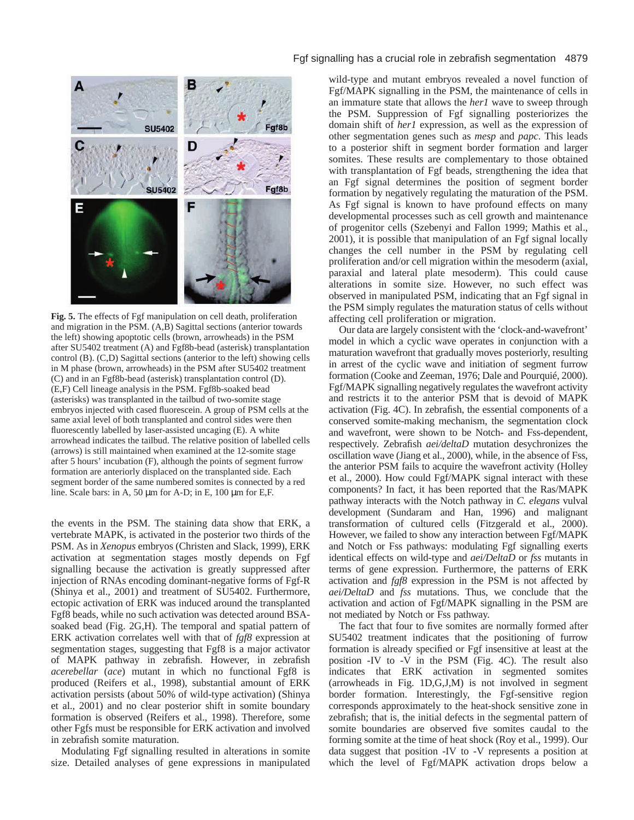

**Fig. 5.** The effects of Fgf manipulation on cell death, proliferation and migration in the PSM. (A,B) Sagittal sections (anterior towards the left) showing apoptotic cells (brown, arrowheads) in the PSM after SU5402 treatment (A) and Fgf8b-bead (asterisk) transplantation control (B). (C,D) Sagittal sections (anterior to the left) showing cells in M phase (brown, arrowheads) in the PSM after SU5402 treatment (C) and in an Fgf8b-bead (asterisk) transplantation control (D). (E,F) Cell lineage analysis in the PSM. Fgf8b-soaked bead (asterisks) was transplanted in the tailbud of two-somite stage embryos injected with cased fluorescein. A group of PSM cells at the same axial level of both transplanted and control sides were then fluorescently labelled by laser-assisted uncaging (E). A white arrowhead indicates the tailbud. The relative position of labelled cells (arrows) is still maintained when examined at the 12-somite stage after 5 hours' incubation (F), although the points of segment furrow formation are anteriorly displaced on the transplanted side. Each segment border of the same numbered somites is connected by a red line. Scale bars: in A, 50 µm for A-D; in E, 100 µm for E,F.

the events in the PSM. The staining data show that ERK, a vertebrate MAPK, is activated in the posterior two thirds of the PSM. As in *Xenopus* embryos (Christen and Slack, 1999), ERK activation at segmentation stages mostly depends on Fgf signalling because the activation is greatly suppressed after injection of RNAs encoding dominant-negative forms of Fgf-R (Shinya et al., 2001) and treatment of SU5402. Furthermore, ectopic activation of ERK was induced around the transplanted Fgf8 beads, while no such activation was detected around BSAsoaked bead (Fig. 2G,H). The temporal and spatial pattern of ERK activation correlates well with that of *fgf8* expression at segmentation stages, suggesting that Fgf8 is a major activator of MAPK pathway in zebrafish. However, in zebrafish *acerebellar* (*ace*) mutant in which no functional Fgf8 is produced (Reifers et al., 1998), substantial amount of ERK activation persists (about 50% of wild-type activation) (Shinya et al., 2001) and no clear posterior shift in somite boundary formation is observed (Reifers et al., 1998). Therefore, some other Fgfs must be responsible for ERK activation and involved in zebrafish somite maturation.

Modulating Fgf signalling resulted in alterations in somite size. Detailed analyses of gene expressions in manipulated

#### Fgf signalling has a crucial role in zebrafish segmentation 4879

wild-type and mutant embryos revealed a novel function of Fgf/MAPK signalling in the PSM, the maintenance of cells in an immature state that allows the *her1* wave to sweep through the PSM. Suppression of Fgf signalling posteriorizes the domain shift of *her1* expression, as well as the expression of other segmentation genes such as *mesp* and *papc*. This leads to a posterior shift in segment border formation and larger somites. These results are complementary to those obtained with transplantation of Fgf beads, strengthening the idea that an Fgf signal determines the position of segment border formation by negatively regulating the maturation of the PSM. As Fgf signal is known to have profound effects on many developmental processes such as cell growth and maintenance of progenitor cells (Szebenyi and Fallon 1999; Mathis et al., 2001), it is possible that manipulation of an Fgf signal locally changes the cell number in the PSM by regulating cell proliferation and/or cell migration within the mesoderm (axial, paraxial and lateral plate mesoderm). This could cause alterations in somite size. However, no such effect was observed in manipulated PSM, indicating that an Fgf signal in the PSM simply regulates the maturation status of cells without affecting cell proliferation or migration.

Our data are largely consistent with the 'clock-and-wavefront' model in which a cyclic wave operates in conjunction with a maturation wavefront that gradually moves posteriorly, resulting in arrest of the cyclic wave and initiation of segment furrow formation (Cooke and Zeeman, 1976; Dale and Pourquié, 2000). Fgf/MAPK signalling negatively regulates the wavefront activity and restricts it to the anterior PSM that is devoid of MAPK activation (Fig. 4C). In zebrafish, the essential components of a conserved somite-making mechanism, the segmentation clock and wavefront, were shown to be Notch- and Fss-dependent, respectively. Zebrafish *aei/deltaD* mutation desychronizes the oscillation wave (Jiang et al., 2000), while, in the absence of Fss, the anterior PSM fails to acquire the wavefront activity (Holley et al., 2000). How could Fgf/MAPK signal interact with these components? In fact, it has been reported that the Ras/MAPK pathway interacts with the Notch pathway in *C. elegans* vulval development (Sundaram and Han, 1996) and malignant transformation of cultured cells (Fitzgerald et al., 2000). However, we failed to show any interaction between Fgf/MAPK and Notch or Fss pathways: modulating Fgf signalling exerts identical effects on wild-type and *aei/DeltaD* or *fss* mutants in terms of gene expression. Furthermore, the patterns of ERK activation and *fgf8* expression in the PSM is not affected by *aei/DeltaD* and *fss* mutations. Thus, we conclude that the activation and action of Fgf/MAPK signalling in the PSM are not mediated by Notch or Fss pathway.

The fact that four to five somites are normally formed after SU5402 treatment indicates that the positioning of furrow formation is already specified or Fgf insensitive at least at the position -IV to -V in the PSM (Fig. 4C). The result also indicates that ERK activation in segmented somites (arrowheads in Fig. 1D,G,J,M) is not involved in segment border formation. Interestingly, the Fgf-sensitive region corresponds approximately to the heat-shock sensitive zone in zebrafish; that is, the initial defects in the segmental pattern of somite boundaries are observed five somites caudal to the forming somite at the time of heat shock (Roy et al., 1999). Our data suggest that position -IV to -V represents a position at which the level of Fgf/MAPK activation drops below a